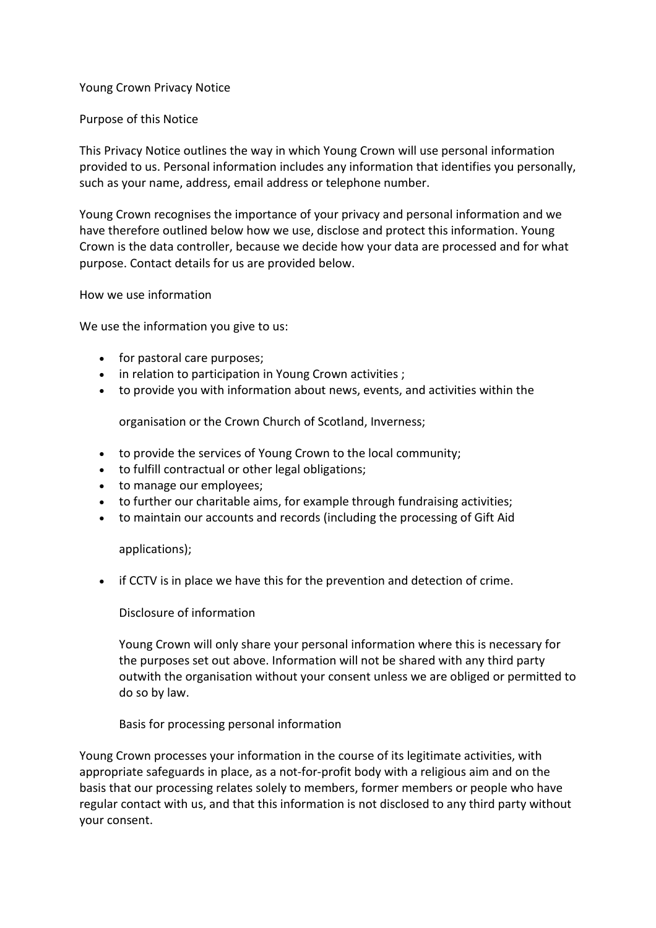# Young Crown Privacy Notice

## Purpose of this Notice

This Privacy Notice outlines the way in which Young Crown will use personal information provided to us. Personal information includes any information that identifies you personally, such as your name, address, email address or telephone number.

Young Crown recognises the importance of your privacy and personal information and we have therefore outlined below how we use, disclose and protect this information. Young Crown is the data controller, because we decide how your data are processed and for what purpose. Contact details for us are provided below.

How we use information

We use the information you give to us:

- for pastoral care purposes;
- in relation to participation in Young Crown activities;
- to provide you with information about news, events, and activities within the

organisation or the Crown Church of Scotland, Inverness;

- to provide the services of Young Crown to the local community;
- to fulfill contractual or other legal obligations;
- to manage our employees;
- to further our charitable aims, for example through fundraising activities;
- to maintain our accounts and records (including the processing of Gift Aid

applications);

• if CCTV is in place we have this for the prevention and detection of crime.

Disclosure of information

Young Crown will only share your personal information where this is necessary for the purposes set out above. Information will not be shared with any third party outwith the organisation without your consent unless we are obliged or permitted to do so by law.

#### Basis for processing personal information

Young Crown processes your information in the course of its legitimate activities, with appropriate safeguards in place, as a not-for-profit body with a religious aim and on the basis that our processing relates solely to members, former members or people who have regular contact with us, and that this information is not disclosed to any third party without your consent.